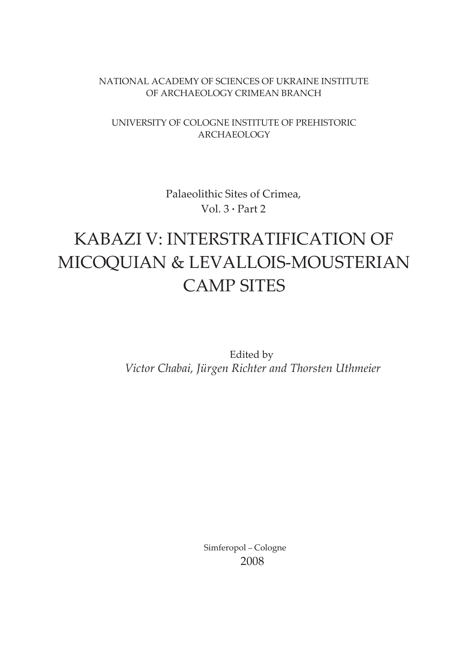#### NATIONAL ACADEMY OF SCIENCES OF UKRAINE INSTITUTE OF ARCHAEOLOGY CRIMEAN BRANCH

#### UNIVERSITY OF COLOGNE INSTITUTE OF PREHISTORIC ARCHAEOLOGY

Palaeolithic Sites of Crimea, Vol. 3 **·** Part 2

## KABAZI V: INTERSTRATIFICATION OF MICOQUIAN & LEVALLOIS-MOUSTERIAN CAMP SITES

Edited by *Victor Chabai, Jürgen Richter and Thorsten Uthmeier*

> Simferopol – Cologne 2008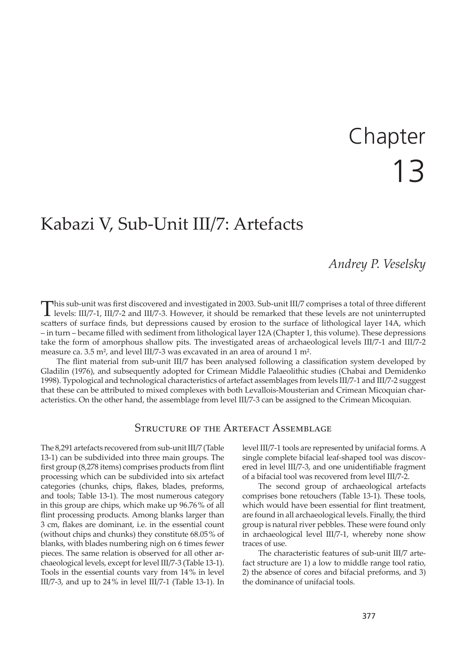# 13 Chapter

## Kabazi V, Sub-Unit III/7: Artefacts

#### *Andrey P. Veselsky*

This sub-unit was first discovered and investigated in 2003. Sub-unit III/7 comprises a total of three different levels: III/7-1, III/7-2 and III/7-3. However, it should be remarked that these levels are not uninterrupted scatters of surface finds, but depressions caused by erosion to the surface of lithological layer 14A, which – in turn – became filled with sediment from lithological layer 12A (Chapter 1, this volume). These depressions take the form of amorphous shallow pits. The investigated areas of archaeological levels III/7-1 and III/7-2 measure ca. 3.5 m², and level III/7-3 was excavated in an area of around 1 m².

The flint material from sub-unit III/7 has been analysed following a classification system developed by Gladilin (1976), and subsequently adopted for Crimean Middle Palaeolithic studies (Chabai and Demidenko 1998). Typological and technological characteristics of artefact assemblages from levels III/7-1 and III/7-2 suggest that these can be a�ributed to mixed complexes with both Levallois-Mousterian and Crimean Micoquian characteristics. On the other hand, the assemblage from level III/7-3 can be assigned to the Crimean Micoquian.

#### STRUCTURE OF THE ARTEFACT ASSEMBLAGE

The 8,291 artefacts recovered from sub-unit III/7 (Table 13-1) can be subdivided into three main groups. The first group (8,278 items) comprises products from flint processing which can be subdivided into six artefact categories (chunks, chips, flakes, blades, preforms, and tools; Table 13-1). The most numerous category in this group are chips, which make up 96.76 % of all flint processing products. Among blanks larger than 3 cm, flakes are dominant, i.e. in the essential count (without chips and chunks) they constitute 68.05 % of blanks, with blades numbering nigh on 6 times fewer pieces. The same relation is observed for all other archaeological levels, except for level III/7-3 (Table 13-1). Tools in the essential counts vary from 14 % in level III/7-3, and up to  $24\%$  in level III/7-1 (Table 13-1). In level III/7-1 tools are represented by unifacial forms. A single complete bifacial leaf-shaped tool was discovered in level III/7-3, and one unidentifiable fragment of a bifacial tool was recovered from level III/7-2.

The second group of archaeological artefacts comprises bone retouchers (Table 13-1). These tools, which would have been essential for flint treatment, are found in all archaeological levels. Finally, the third group is natural river pebbles. These were found only in archaeological level III/7-1, whereby none show traces of use.

The characteristic features of sub-unit III/7 artefact structure are 1) a low to middle range tool ratio, 2) the absence of cores and bifacial preforms, and 3) the dominance of unifacial tools.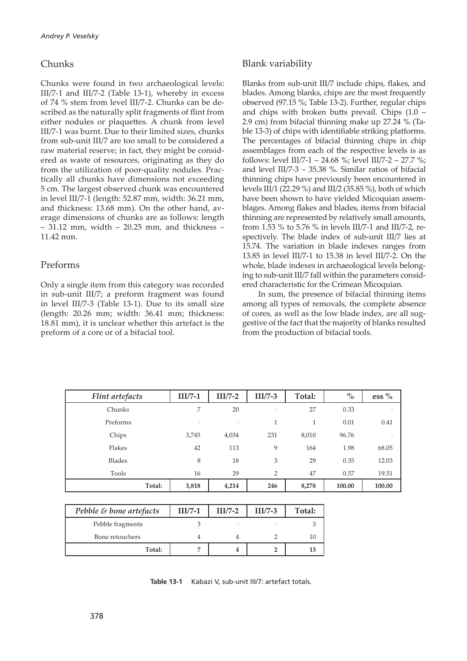#### Chunks

Chunks were found in two archaeological levels: III/7-1 and III/7-2 (Table 13-1), whereby in excess of 74 % stem from level III/7-2. Chunks can be described as the naturally split fragments of flint from either nodules or plaquettes. A chunk from level III/7-1 was burnt. Due to their limited sizes, chunks from sub-unit III/7 are too small to be considered a raw material reserve; in fact, they might be considered as waste of resources, originating as they do from the utilization of poor-quality nodules. Practically all chunks have dimensions not exceeding 5 cm. The largest observed chunk was encountered in level III/7-1 (length: 52.87 mm, width: 36.21 mm, and thickness: 13.68 mm). On the other hand, average dimensions of chunks are as follows: length – 31.12 mm, width – 20.25 mm, and thickness – 11.42 mm.

#### Preforms

Only a single item from this category was recorded in sub-unit III/7; a preform fragment was found in level III/7-3 (Table 13-1). Due to its small size (length: 20.26 mm; width: 36.41 mm; thickness: 18.81 mm), it is unclear whether this artefact is the preform of a core or of a bifacial tool.

#### Blank variability

Blanks from sub-unit III/7 include chips, flakes, and blades. Among blanks, chips are the most frequently observed (97.15 %; Table 13-2). Further, regular chips and chips with broken butts prevail. Chips  $(1.0 -$ 2.9 cm) from bifacial thinning make up 27.24 % (Table 13-3) of chips with identifiable striking platforms. The percentages of bifacial thinning chips in chip assemblages from each of the respective levels is as follows: level III/7-1 – 24.68 %; level III/7-2 – 27.7 %; and level III/7-3 – 35.38 %. Similar ratios of bifacial thinning chips have previously been encountered in levels III/1 (22.29 %) and III/2 (35.85 %), both of which have been shown to have yielded Micoquian assemblages. Among flakes and blades, items from bifacial thinning are represented by relatively small amounts, from 1.53 % to 5.76 % in levels III/7-1 and III/7-2, respectively. The blade index of sub-unit III/7 lies at 15.74. The variation in blade indexes ranges from 13.85 in level III/7-1 to 15.38 in level III/7-2. On the whole, blade indexes in archaeological levels belonging to sub-unit III/7 fall within the parameters considered characteristic for the Crimean Micoquian.

In sum, the presence of bifacial thinning items among all types of removals, the complete absence of cores, as well as the low blade index, are all suggestive of the fact that the majority of blanks resulted from the production of bifacial tools.

| Flint artefacts | $III/7-1$ | $III/7-2$ | $III/7-3$      | Total: | $\%$   | ess $%$ |
|-----------------|-----------|-----------|----------------|--------|--------|---------|
| Chunks          | 7         | 20        | ٠              | 27     | 0.33   | ٠       |
| Preforms        | ٠         | ٠         | 1              | 1      | 0.01   | 0.41    |
| Chips           | 3,745     | 4,034     | 231            | 8,010  | 96.76  | ٠       |
| Flakes          | 42        | 113       | 9              | 164    | 1.98   | 68.05   |
| <b>Blades</b>   | 8         | 18        | 3              | 29     | 0.35   | 12.03   |
| Tools           | 16        | 29        | $\overline{2}$ | 47     | 0.57   | 19.51   |
| Total:          | 3,818     | 4,214     | 246            | 8,278  | 100.00 | 100.00  |

| Pebble & bone artefacts | $III/7-1$ | $II/I$ /7-2 | $III/7-3$ | Total: |
|-------------------------|-----------|-------------|-----------|--------|
| Pebble fragments        |           |             |           |        |
| Bone retouchers         |           |             |           |        |
| Total:                  |           |             |           |        |

**Table 13-1** Kabazi V, sub-unit III/7: artefact totals.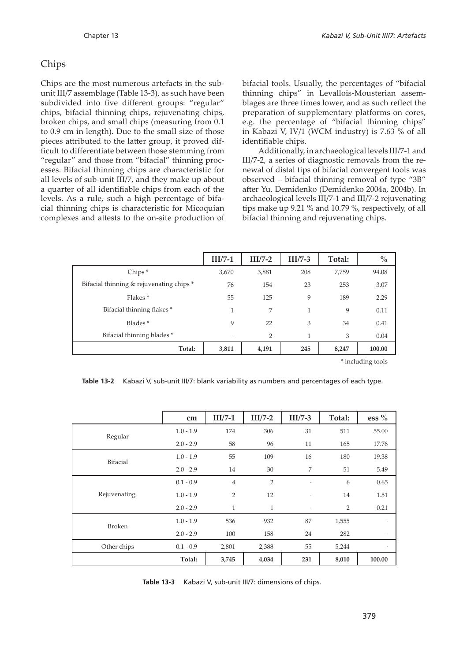#### Chips

Chips are the most numerous artefacts in the subunit III/7 assemblage (Table 13-3), as such have been subdivided into five different groups: "regular" chips, bifacial thinning chips, rejuvenating chips, broken chips, and small chips (measuring from 0.1 to 0.9 cm in length). Due to the small size of those pieces attributed to the latter group, it proved difficult to differentiate between those stemming from "regular" and those from "bifacial" thinning processes. Bifacial thinning chips are characteristic for all levels of sub-unit III/7, and they make up about a quarter of all identifiable chips from each of the levels. As a rule, such a high percentage of bifacial thinning chips is characteristic for Micoquian complexes and attests to the on-site production of

bifacial tools. Usually, the percentages of "bifacial thinning chips" in Levallois-Mousterian assemblages are three times lower, and as such reflect the preparation of supplementary platforms on cores, e.g. the percentage of "bifacial thinning chips" in Kabazi V, IV/1 (WCM industry) is 7.63 % of all identifiable chips.

Additionally, in archaeological levels III/7-1 and III/7-2, a series of diagnostic removals from the renewal of distal tips of bifacial convergent tools was observed – bifacial thinning removal of type "3B" a�er Yu. Demidenko (Demidenko 2004a, 2004b). In archaeological levels III/7-1 and III/7-2 rejuvenating tips make up 9.21 % and 10.79 %, respectively, of all bifacial thinning and rejuvenating chips.

|                                          | $III/7-1$ | $II/I$ /7-2 | $III/7-3$ | Total: | $\frac{0}{0}$ |
|------------------------------------------|-----------|-------------|-----------|--------|---------------|
| $Chips*$                                 | 3,670     | 3,881       | 208       | 7,759  | 94.08         |
| Bifacial thinning & rejuvenating chips * | 76        | 154         | 23        | 253    | 3.07          |
| Flakes*                                  | 55        | 125         | 9         | 189    | 2.29          |
| Bifacial thinning flakes *               | 1         | 7           | 1         | 9      | 0.11          |
| Blades <sup>*</sup>                      | 9         | 22          | 3         | 34     | 0.41          |
| Bifacial thinning blades *               | $\bullet$ | 2           | 1         | 3      | 0.04          |
| Total:                                   | 3,811     | 4,191       | 245       | 8,247  | 100.00        |

\* including tools

**Table 13-2** Kabazi V, sub-unit III/7: blank variability as numbers and percentages of each type.

|                 | cm          | $III/7-1$      | $II/I$ /7-2    | $III/7-3$            | Total: | ess $%$ |
|-----------------|-------------|----------------|----------------|----------------------|--------|---------|
| Regular         | $1.0 - 1.9$ | 174            | 306            | 31                   | 511    | 55.00   |
|                 | $2.0 - 2.9$ | 58             | 96             | 11                   | 165    | 17.76   |
| <b>Bifacial</b> | $1.0 - 1.9$ | 55             | 109            | 16                   | 180    | 19.38   |
|                 | $2.0 - 2.9$ | 14             | 30             | $\overline{7}$       | 51     | 5.49    |
|                 | $0.1 - 0.9$ | $\sqrt{4}$     | $\overline{2}$ | $\ddot{\phantom{a}}$ | 6      | 0.65    |
| Rejuvenating    | $1.0 - 1.9$ | $\overline{2}$ | 12             | $\cdot$              | 14     | 1.51    |
|                 | $2.0 - 2.9$ | $\mathbf{1}$   | $\mathbf{1}$   | $\cdot$              | 2      | 0.21    |
| <b>Broken</b>   | $1.0 - 1.9$ | 536            | 932            | 87                   | 1,555  | $\cdot$ |
|                 | $2.0 - 2.9$ | 100            | 158            | 24                   | 282    | $\cdot$ |
| Other chips     | $0.1 - 0.9$ | 2,801          | 2,388          | 55                   | 5,244  | ٠       |
|                 | Total:      | 3,745          | 4,034          | 231                  | 8,010  | 100.00  |

**Table 13-3** Kabazi V, sub-unit III/7: dimensions of chips.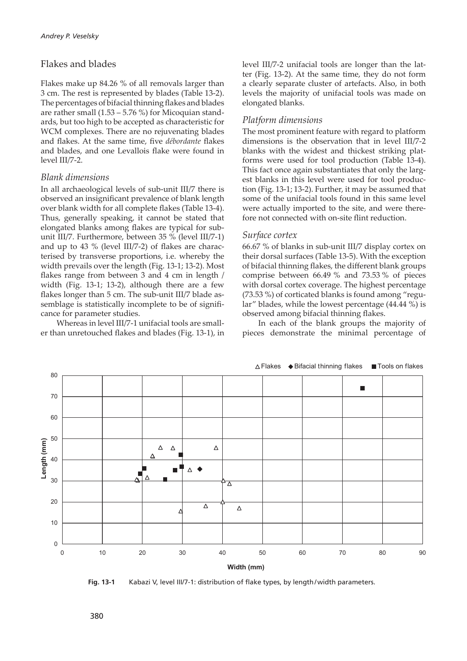#### Flakes and blades

Flakes make up 84.26 % of all removals larger than 3 cm. The rest is represented by blades (Table 13-2). The percentages of bifacial thinning flakes and blades are rather small (1.53 – 5.76 %) for Micoquian standards, but too high to be accepted as characteristic for WCM complexes. There are no rejuvenating blades and flakes. At the same time, five *débordante* flakes and blades, and one Levallois flake were found in level III/7-2.

#### *Blank dimensions*

In all archaeological levels of sub-unit III/7 there is observed an insignificant prevalence of blank length over blank width for all complete flakes (Table 13-4). Thus, generally speaking, it cannot be stated that elongated blanks among flakes are typical for subunit III/7. Furthermore, between 35 % (level III/7-1) and up to 43 % (level III/7-2) of flakes are characterised by transverse proportions, i.e. whereby the width prevails over the length (Fig. 13-1; 13-2). Most flakes range from between 3 and 4 cm in length / width (Fig. 13-1; 13-2), although there are a few flakes longer than 5 cm. The sub-unit III/7 blade assemblage is statistically incomplete to be of significance for parameter studies.

Whereas in level III/7-1 unifacial tools are smaller than unretouched flakes and blades (Fig. 13-1), in level III/7-2 unifacial tools are longer than the latter (Fig. 13-2). At the same time, they do not form a clearly separate cluster of artefacts. Also, in both levels the majority of unifacial tools was made on elongated blanks.

#### *Platform dimensions*

The most prominent feature with regard to platform dimensions is the observation that in level III/7-2 blanks with the widest and thickest striking platforms were used for tool production (Table 13-4). This fact once again substantiates that only the largest blanks in this level were used for tool production (Fig. 13-1; 13-2). Further, it may be assumed that some of the unifacial tools found in this same level were actually imported to the site, and were therefore not connected with on-site flint reduction.

#### *Surface cortex*

66.67 % of blanks in sub-unit III/7 display cortex on their dorsal surfaces (Table 13-5). With the exception of bifacial thinning flakes, the different blank groups comprise between 66.49 % and 73.53 % of pieces with dorsal cortex coverage. The highest percentage (73.53 %) of corticated blanks is found among "regular" blades, while the lowest percentage (44.44 %) is observed among bifacial thinning flakes.

In each of the blank groups the majority of pieces demonstrate the minimal percentage of



Fig. 13-1 Kabazi V, level III/7-1: distribution of flake types, by length/width parameters.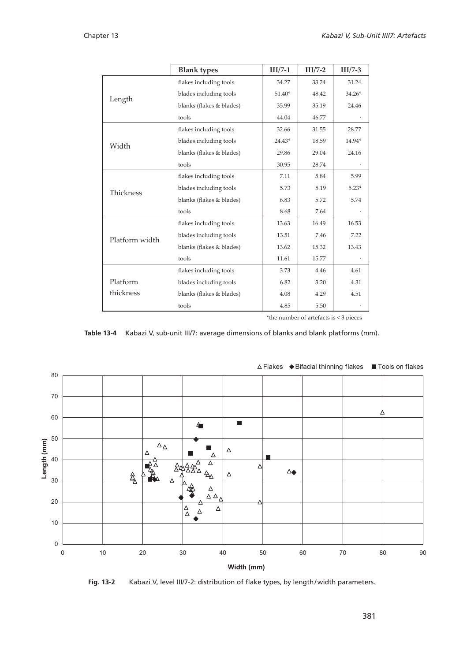|                | <b>Blank types</b>       | $III/7-1$ | $II/I$ /7-2 | $III/7-3$ |
|----------------|--------------------------|-----------|-------------|-----------|
|                | flakes including tools   | 34.27     | 33.24       | 31.24     |
|                | blades including tools   | $51.40*$  | 48.42       | $34.26*$  |
| Length         | blanks (flakes & blades) | 35.99     | 35.19       | 24.46     |
|                | tools                    | 44.04     | 46.77       |           |
|                | flakes including tools   | 32.66     | 31.55       | 28.77     |
| Width          | blades including tools   | 24.43*    | 18.59       | 14.94*    |
|                | blanks (flakes & blades) | 29.86     | 29.04       | 24.16     |
|                | tools                    | 30.95     | 28.74       |           |
|                | flakes including tools   | 7.11      | 5.84        | 5.99      |
| Thickness      | blades including tools   | 5.73      | 5.19        | $5.23*$   |
|                | blanks (flakes & blades) | 6.83      | 5.72        | 5.74      |
|                | tools                    | 8.68      | 7.64        |           |
|                | flakes including tools   | 13.63     | 16.49       | 16.53     |
| Platform width | blades including tools   | 13.51     | 7.46        | 7.22      |
|                | blanks (flakes & blades) | 13.62     | 15.32       | 13.43     |
|                | tools                    | 11.61     | 15.77       |           |
|                | flakes including tools   | 3.73      | 4.46        | 4.61      |
| Platform       | blades including tools   | 6.82      | 3.20        | 4.31      |
| thickness      | blanks (flakes & blades) | 4.08      | 4.29        | 4.51      |
|                | tools                    | 4.85      | 5.50        |           |

\*the number of artefacts is < 3 pieces

**Table 13-4** Kabazi V, sub-unit III/7: average dimensions of blanks and blank platforms (mm).



#### $\triangle$  Flakes  $\blacklozenge$  Bifacial thinning flakes  $\blacksquare$  Tools on flakes

Fig. 13-2 Kabazi V, level III/7-2: distribution of flake types, by length/width parameters.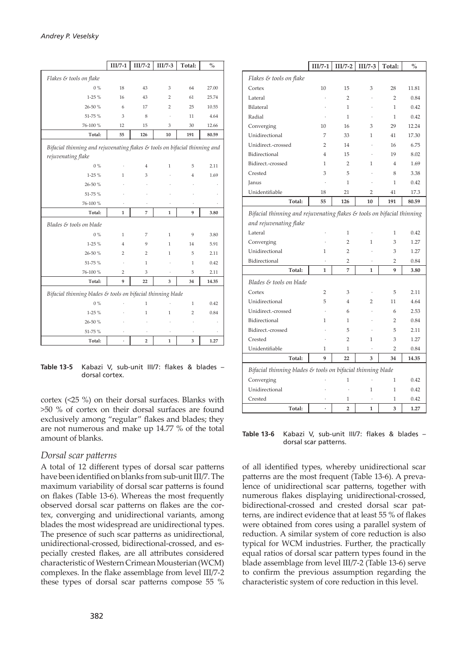|                                                                                                              | $III/7-1$      | $III/7-2$            | $III/7-3$      | Total:         | $\%$  |
|--------------------------------------------------------------------------------------------------------------|----------------|----------------------|----------------|----------------|-------|
| Flakes & tools on flake                                                                                      |                |                      |                |                |       |
| $0\%$                                                                                                        | 18             | 43                   | 3              | 64             | 27.00 |
| $1-25%$                                                                                                      | 16             | 43                   | $\overline{2}$ | 61             | 25.74 |
| 26-50 %                                                                                                      | 6              | 17                   | $\overline{2}$ | 25             | 10.55 |
| 51-75 %                                                                                                      | 3              | 8                    |                | 11             | 4.64  |
| 76-100 %                                                                                                     | 12             | 15                   | 3              | 30             | 12.66 |
| Total:                                                                                                       | 55             | 126                  | 10             | 191            | 80.59 |
| Bifacial thinning and rejuvenating flakes $\varepsilon$ tools on bifacial thinning and<br>rejuvenating flake |                |                      |                |                |       |
| $0\%$                                                                                                        |                | $\overline{4}$       | $\mathbf{1}$   | 5              | 2.11  |
| $1-25%$                                                                                                      | 1              | 3                    |                | 4              | 1.69  |
| 26-50 %                                                                                                      |                |                      |                |                |       |
| 51-75%                                                                                                       |                |                      |                |                |       |
| 76-100 %                                                                                                     |                | $\ddot{\phantom{0}}$ |                |                |       |
| Total:                                                                                                       | 1              | 7                    | $\mathbf{1}$   | 9              | 3.80  |
| Blades & tools on blade                                                                                      |                |                      |                |                |       |
| $0\%$                                                                                                        | $\mathbf{1}$   | 7                    | $\mathbf{1}$   | 9              | 3.80  |
| $1-25%$                                                                                                      | $\overline{4}$ | 9                    | $\mathbf{1}$   | 14             | 5.91  |
| 26-50 %                                                                                                      | $\overline{2}$ | 2                    | $\mathbf{1}$   | 5              | 2.11  |
| 51-75 %                                                                                                      |                | 1                    |                | $\mathbf{1}$   | 0.42  |
| 76-100 %                                                                                                     | 2              | 3                    |                | 5              | 2.11  |
| Total:                                                                                                       | 9              | 22                   | 3              | 34             | 14.35 |
| Bifacial thinning blades & tools on bifacial thinning blade                                                  |                |                      |                |                |       |
| $0\%$                                                                                                        |                | 1                    |                | $\mathbf{1}$   | 0.42  |
| $1-25%$                                                                                                      |                | 1                    | $\mathbf{1}$   | $\overline{2}$ | 0.84  |
| 26-50 %                                                                                                      |                |                      |                |                |       |
| 51-75 %                                                                                                      |                |                      |                |                |       |
| Total:                                                                                                       |                | 2                    | $\mathbf 1$    | 3              | 1.27  |

**Table 13-5** Kabazi V, sub-unit III/7: flakes & blades – dorsal cortex.

cortex (<25 %) on their dorsal surfaces. Blanks with >50 % of cortex on their dorsal surfaces are found exclusively among "regular" flakes and blades; they are not numerous and make up 14.77 % of the total amount of blanks.

#### *Dorsal scar pa�erns*

A total of 12 different types of dorsal scar patterns have been identified on blanks from sub-unit III/7. The maximum variability of dorsal scar patterns is found on flakes (Table 13-6). Whereas the most frequently observed dorsal scar pa�erns on flakes are the cortex, converging and unidirectional variants, among blades the most widespread are unidirectional types. The presence of such scar patterns as unidirectional, unidirectional-crossed, bidirectional-crossed, and especially crested flakes, are all attributes considered characteristic of Western Crimean Mousterian (WCM) complexes. In the flake assemblage from level III/7-2 these types of dorsal scar patterns compose 55 %

|                                                                                                  | $III/7-1$            | $III/7-2$               | $III/7-3$      | Total:         | $\frac{0}{0}$ |
|--------------------------------------------------------------------------------------------------|----------------------|-------------------------|----------------|----------------|---------------|
| Flakes & tools on flake                                                                          |                      |                         |                |                |               |
| Cortex                                                                                           | 10                   | 15                      | 3              | 28             | 11.81         |
| Lateral                                                                                          |                      | $\overline{2}$          |                | $\overline{2}$ | 0.84          |
| Bilateral                                                                                        |                      | $\mathbf{1}$            |                | $\mathbf{1}$   | 0.42          |
| Radial                                                                                           |                      | $\mathbf{1}$            |                | $\mathbf{1}$   | 0.42          |
| Converging                                                                                       | 10                   | 16                      | 3              | 29             | 12.24         |
| Unidirectional                                                                                   | 7                    | 33                      | 1              | 41             | 17.30         |
| Unidirect.-crossed                                                                               | $\overline{2}$       | 14                      |                | 16             | 6.75          |
| Bidirectional                                                                                    | 4                    | 15                      |                | 19             | 8.02          |
| Bidirect.-crossed                                                                                | 1                    | $\overline{2}$          | 1              | $\overline{4}$ | 1.69          |
| Crested                                                                                          | 3                    | 5                       |                | 8              | 3.38          |
| Janus                                                                                            |                      | 1                       |                | 1              | 0.42          |
| Unidentifiable                                                                                   | 18                   | 21                      | $\overline{2}$ | 41             | 17.3          |
| Total:                                                                                           | 55                   | 126                     | 10             | 191            | 80.59         |
| Bifacial thinning and rejuvenating flakes & tools on bifacial thinning<br>and rejuvenating flake |                      |                         |                |                |               |
| Lateral                                                                                          |                      | 1                       |                | $\mathbf{1}$   | 0.42          |
| Converging                                                                                       |                      | $\overline{2}$          | 1              | 3              | 1.27          |
| Unidirectional                                                                                   | 1                    | $\overline{2}$          |                | 3              | 1.27          |
| Bidirectional                                                                                    |                      | $\overline{2}$          |                | $\overline{2}$ | 0.84          |
| Total:                                                                                           | 1                    | 7                       | 1              | 9              | 3.80          |
| Blades & tools on blade                                                                          |                      |                         |                |                |               |
| Cortex                                                                                           | 2                    | 3                       | ä,             | 5              | 2.11          |
| Unidirectional                                                                                   | 5                    | 4                       | 2              | 11             | 4.64          |
| Unidirect.-crossed                                                                               | $\ddot{\phantom{0}}$ | 6                       | ł.             | 6              | 2.53          |
| Bidirectional                                                                                    | 1                    | 1                       |                | 2              | 0.84          |
| Bidirect.-crossed                                                                                | l,                   | 5                       |                | 5              | 2.11          |
| Crested                                                                                          | ï                    | $\overline{2}$          | 1              | 3              | 1.27          |
| Unidentifiable                                                                                   | 1                    | 1                       | ä,             | 2              | 0.84          |
| Total:                                                                                           | 9                    | 22                      | 3              | 34             | 14.35         |
| Bifacial thinning blades & tools on bifacial thinning blade                                      |                      |                         |                |                |               |
| Converging                                                                                       |                      | 1                       |                | 1              | 0.42          |
| Unidirectional                                                                                   |                      |                         | 1              | 1              | 0.42          |
| Crested                                                                                          |                      | 1                       |                | 1              | 0.42          |
| Total:                                                                                           | ï                    | $\overline{\mathbf{c}}$ | 1              | 3              | 1.27          |

**Table 13-6** Kabazi V, sub-unit III/7: flakes & blades – dorsal scar patterns.

of all identified types, whereby unidirectional scar patterns are the most frequent (Table 13-6). A prevalence of unidirectional scar patterns, together with numerous flakes displaying unidirectional-crossed, bidirectional-crossed and crested dorsal scar patterns, are indirect evidence that at least 55 % of flakes were obtained from cores using a parallel system of reduction. A similar system of core reduction is also typical for WCM industries. Further, the practically equal ratios of dorsal scar pattern types found in the blade assemblage from level III/7-2 (Table 13-6) serve to confirm the previous assumption regarding the characteristic system of core reduction in this level.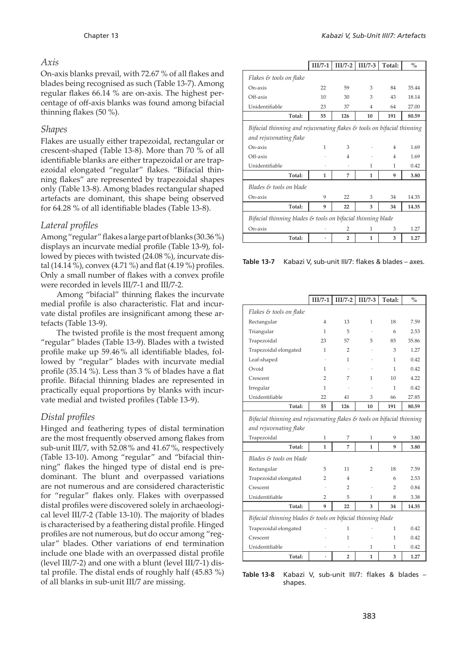#### *Axis*

On-axis blanks prevail, with 72.67 % of all flakes and blades being recognised as such (Table 13-7). Among regular flakes 66.14 % are on-axis. The highest percentage of off-axis blanks was found among bifacial thinning flakes (50 %).

#### *Shapes*

Flakes are usually either trapezoidal, rectangular or crescent-shaped (Table 13-8). More than 70 % of all identifiable blanks are either trapezoidal or are trapezoidal elongated "regular" flakes. "Bifacial thinning flakes" are represented by trapezoidal shapes only (Table 13-8). Among blades rectangular shaped artefacts are dominant, this shape being observed for 64.28 % of all identifiable blades (Table 13-8).

#### *Lateral profiles*

Among "regular" flakes a large part of blanks (30.36 %) displays an incurvate medial profile (Table 13-9), followed by pieces with twisted (24.08 %), incurvate distal (14.14 %), convex (4.71 %) and flat (4.19 %) profiles. Only a small number of flakes with a convex profile were recorded in levels III/7-1 and III/7-2.

Among "bifacial" thinning flakes the incurvate medial profile is also characteristic. Flat and incurvate distal profiles are insignificant among these artefacts (Table 13-9).

The twisted profile is the most frequent among "regular" blades (Table 13-9). Blades with a twisted profile make up 59.46 % all identifiable blades, followed by "regular" blades with incurvate medial profile (35.14 %). Less than 3 % of blades have a flat profile. Bifacial thinning blades are represented in practically equal proportions by blanks with incurvate medial and twisted profiles (Table 13-9).

#### *Distal profiles*

Hinged and feathering types of distal termination are the most frequently observed among flakes from sub-unit III/7, with 52.08 % and 41.67 %, respectively (Table 13-10). Among "regular" and "bifacial thinning" flakes the hinged type of distal end is predominant. The blunt and overpassed variations are not numerous and are considered characteristic for "regular" flakes only. Flakes with overpassed distal profiles were discovered solely in archaeological level III/7-2 (Table 13-10). The majority of blades is characterised by a feathering distal profile. Hinged profiles are not numerous, but do occur among "regular" blades. Other variations of end termination include one blade with an overpassed distal profile (level III/7-2) and one with a blunt (level III/7-1) distal profile. The distal ends of roughly half (45.83 %) of all blanks in sub-unit III/7 are missing.

|                                                                                   | $III/7-1$ | $III/7-2$      | $III/7-3$ | Total:         | $\frac{0}{0}$ |  |
|-----------------------------------------------------------------------------------|-----------|----------------|-----------|----------------|---------------|--|
| Flakes & tools on flake                                                           |           |                |           |                |               |  |
| On-axis                                                                           | 22        | 59             | 3         | 84             | 35.44         |  |
| Off-axis                                                                          | 10        | 30             | 3         | 43             | 18.14         |  |
| Unidentifiable                                                                    | 23        | 37             | 4         | 64             | 27.00         |  |
| Total:                                                                            | 55        | 126            | 10        | 191            | 80.59         |  |
| Bifacial thinning and rejuvenating flakes $\mathcal E$ tools on bifacial thinning |           |                |           |                |               |  |
| and rejuvenating flake                                                            |           |                |           |                |               |  |
| On-axis                                                                           | 1         | 3              |           | $\overline{4}$ | 1.69          |  |
| Off-axis                                                                          |           | $\overline{4}$ |           | $\overline{4}$ | 1.69          |  |
| Unidentifiable                                                                    |           |                | 1         | 1              | 0.42          |  |
| Total:                                                                            | 1         | 7              | 1         | 9              | 3.80          |  |
| Blades & tools on blade                                                           |           |                |           |                |               |  |
| $On-axis$                                                                         | 9         | 22             | 3         | 34             | 14.35         |  |
| Total:                                                                            | 9         | 22             | 3         | 34             | 14.35         |  |
| Bifacial thinning blades & tools on bifacial thinning blade                       |           |                |           |                |               |  |
| On-axis                                                                           |           | 2              | 1         | 3              | 1.27          |  |
| Total:                                                                            |           | 2              | 1         | 3              | 1.27          |  |

**Table 13-7** Kabazi V, sub-unit III/7: flakes & blades – axes.

|                                                                                   | $III/7-1$      | $III/7-2$      | $III/7-3$ | Total: | $\frac{0}{0}$ |
|-----------------------------------------------------------------------------------|----------------|----------------|-----------|--------|---------------|
| Flakes & tools on flake                                                           |                |                |           |        |               |
| Rectangular                                                                       | 4              | 13             | 1         | 18     | 7.59          |
| Triangular                                                                        | 1              | 5              |           | 6      | 2.53          |
| Trapezoidal                                                                       | 23             | 57             | 5         | 85     | 35.86         |
| Trapezoidal elongated                                                             | 1              | 2              |           | 3      | 1.27          |
| Leaf-shaped                                                                       |                | 1              |           | 1      | 0.42          |
| Ovoid                                                                             | 1              |                |           | 1      | 0.42          |
| Crescent                                                                          | 2              | 7              | 1         | 10     | 4.22          |
| Irregular                                                                         | 1              |                |           | 1      | 0.42          |
| Unidentifiable                                                                    | 22             | 41             | 3         | 66     | 27.85         |
| Total:                                                                            | 55             | 126            | 10        | 191    | 80.59         |
| Bifacial thinning and rejuvenating flakes $\mathcal E$ tools on bifacial thinning |                |                |           |        |               |
| and rejuvenating flake                                                            |                |                |           |        |               |
| Trapezoidal                                                                       | 1              | 7              | 1         | 9      | 3.80          |
| Total:                                                                            | 1              | 7              | 1         | 9      | 3.80          |
| Blades & tools on blade                                                           |                |                |           |        |               |
| Rectangular                                                                       | 5              | 11             | 2         | 18     | 7.59          |
| Trapezoidal elongated                                                             | $\overline{2}$ | 4              |           | 6      | 2.53          |
| Crescent                                                                          |                | $\overline{2}$ |           | 2      | 0.84          |
| Unidentifiable                                                                    | $\overline{2}$ | 5              | 1         | 8      | 3.38          |
| Total:                                                                            | 9              | 22             | 3         | 34     | 14.35         |
| Bifacial thinning blades & tools on bifacial thinning blade                       |                |                |           |        |               |
| Trapezoidal elongated                                                             |                | 1              |           | 1      | 0.42          |
| Crescent                                                                          |                | 1              |           | 1      | 0.42          |
| Unidentifiable                                                                    |                |                | 1         | 1      | 0.42          |
| Total:                                                                            |                | $\overline{2}$ | 1         | 3      | 1.27          |

**Table 13-8** Kabazi V, sub-unit III/7: flakes & blades – shapes.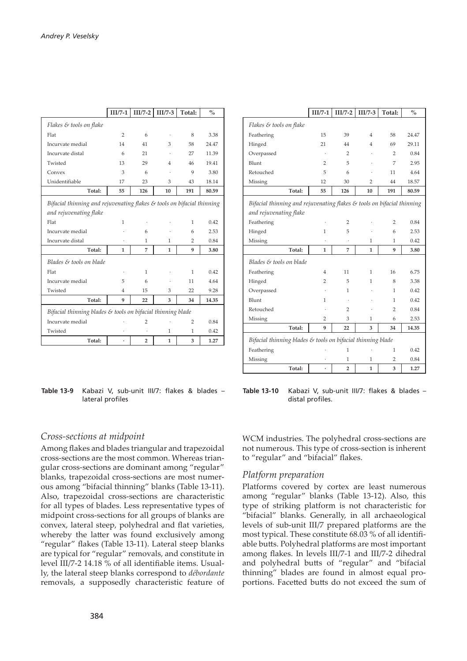|                                                                        | $III/7-1$ |                | $III/7-2$   $III/7-3$ | Total: | $\frac{0}{0}$ |
|------------------------------------------------------------------------|-----------|----------------|-----------------------|--------|---------------|
| Flakes & tools on flake                                                |           |                |                       |        |               |
| Flat                                                                   | 2         | 6              |                       | 8      | 3.38          |
| Incurvate medial                                                       | 14        | 41             | 3                     | 58     | 24.47         |
| Incurvate distal                                                       | 6         | 21             |                       | 27     | 11.39         |
| Twisted                                                                | 13        | 29             | 4                     | 46     | 19.41         |
| Convex                                                                 | 3         | 6              |                       | 9      | 3.80          |
| Unidentifiable                                                         | 17        | 23             | 3                     | 43     | 18.14         |
| Total:                                                                 | 55        | 126            | 10                    | 191    | 80.59         |
| Bifacial thinning and rejuvenating flakes & tools on bifacial thinning |           |                |                       |        |               |
| and rejuvenating flake                                                 |           |                |                       |        |               |
| Flat                                                                   | 1         |                |                       | 1      | 0.42          |
| Incurvate medial                                                       |           | 6              |                       | 6      | 2.53          |
| Incurvate distal                                                       |           | 1              | 1                     | 2      | 0.84          |
| Total:                                                                 | 1         | 7              | 1                     | 9      | 3.80          |
| Blades & tools on blade                                                |           |                |                       |        |               |
| Flat                                                                   |           | 1              |                       | 1      | 0.42          |
| Incurvate medial                                                       | 5         | 6              |                       | 11     | 4.64          |
| Twisted                                                                | 4         | 15             | 3                     | 22     | 9.28          |
| Total:                                                                 | 9         | 22             | 3                     | 34     | 14.35         |
| Bifacial thinning blades & tools on bifacial thinning blade            |           |                |                       |        |               |
| Incurvate medial                                                       |           | $\overline{2}$ |                       | 2      | 0.84          |
| Twisted                                                                |           |                | 1                     | 1      | 0.42          |
| Total:                                                                 | ٠         | $\overline{2}$ | 1                     | 3      | 1.27          |

| Table 13-9 Kabazi V, sub-unit III/7: flakes & blades - |                  |  |  |  |
|--------------------------------------------------------|------------------|--|--|--|
|                                                        | lateral profiles |  |  |  |

|                                                                        | $III/7-1$      | $III/7-2$      | $III/7-3$      | Total: | $\frac{0}{0}$ |
|------------------------------------------------------------------------|----------------|----------------|----------------|--------|---------------|
| Flakes & tools on flake                                                |                |                |                |        |               |
| Feathering                                                             | 15             | 39             | 4              | 58     | 24.47         |
| Hinged                                                                 | 21             | 44             | 4              | 69     | 29.11         |
| Overpassed                                                             |                | 2              |                | 2      | 0.84          |
| Blunt                                                                  | $\overline{2}$ | 5              |                | 7      | 2.95          |
| Retouched                                                              | 5              | 6              |                | 11     | 4.64          |
| Missing                                                                | 12             | 30             | $\overline{2}$ | 44     | 18.57         |
| Total:                                                                 | 55             | 126            | 10             | 191    | 80.59         |
| Bifacial thinning and rejuvenating flakes & tools on bifacial thinning |                |                |                |        |               |
| and rejuvenating flake                                                 |                |                |                |        |               |
| Feathering                                                             |                | 2              |                | 2      | 0.84          |
| Hinged                                                                 | 1              | 5              |                | 6      | 2.53          |
| Missing                                                                |                |                | 1              | 1      | 0.42          |
| Total:                                                                 | 1              | 7              | 1              | 9      | 3.80          |
| Blades & tools on blade                                                |                |                |                |        |               |
| Feathering                                                             | 4              | 11             | 1              | 16     | 6.75          |
| Hinged                                                                 | 2              | 5              | 1              | 8      | 3.38          |
| Overpassed                                                             |                | 1              |                | 1      | 0.42          |
| Blunt                                                                  | 1              |                |                | 1      | 0.42          |
| Retouched                                                              |                | $\overline{2}$ |                | 2      | 0.84          |
| Missing                                                                | 2              | 3              | 1              | 6      | 2.53          |
| Total:                                                                 | 9              | 22             | 3              | 34     | 14.35         |
| Bifacial thinning blades & tools on bifacial thinning blade            |                |                |                |        |               |
| Feathering                                                             |                | 1              |                | 1      | 0.42          |
| Missing                                                                |                | 1              | 1              | 2      | 0.84          |
| Total:                                                                 |                | 2              | 1              | 3      | 1.27          |

**Table 13-10** Kabazi V, sub-unit III/7: flakes & blades – distal profiles.

#### *Cross-sections at midpoint*

Among flakes and blades triangular and trapezoidal cross-sections are the most common. Whereas triangular cross-sections are dominant among "regular" blanks, trapezoidal cross-sections are most numerous among "bifacial thinning" blanks (Table 13-11). Also, trapezoidal cross-sections are characteristic for all types of blades. Less representative types of midpoint cross-sections for all groups of blanks are convex, lateral steep, polyhedral and flat varieties, whereby the latter was found exclusively among "regular" flakes (Table 13-11). Lateral steep blanks are typical for "regular" removals, and constitute in level III/7-2 14.18 % of all identifiable items. Usually, the lateral steep blanks correspond to *débordante* removals, a supposedly characteristic feature of

WCM industries. The polyhedral cross-sections are not numerous. This type of cross-section is inherent to "regular" and "bifacial" flakes.

#### *Platform preparation*

Platforms covered by cortex are least numerous among "regular" blanks (Table 13-12). Also, this type of striking platform is not characteristic for "bifacial" blanks. Generally, in all archaeological levels of sub-unit III/7 prepared platforms are the most typical. These constitute 68.03 % of all identifiable butts. Polyhedral platforms are most important among flakes. In levels III/7-1 and III/7-2 dihedral and polyhedral butts of "regular" and "bifacial thinning" blades are found in almost equal proportions. Facetted butts do not exceed the sum of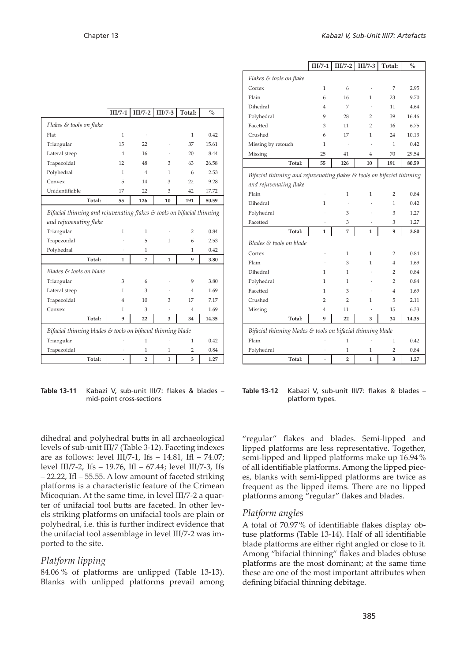|                                                                                                  | $III/7-1$ | $III/7-2$      | $III/7-3$    | Total: | $\%$  |
|--------------------------------------------------------------------------------------------------|-----------|----------------|--------------|--------|-------|
| Flakes & tools on flake                                                                          |           |                |              |        |       |
| Flat                                                                                             | 1         |                |              | 1      | 0.42  |
| Triangular                                                                                       | 15        | 22             |              | 37     | 15.61 |
| Lateral steep                                                                                    | 4         | 16             |              | 20     | 8.44  |
| Trapezoidal                                                                                      | 12        | 48             | 3            | 63     | 26.58 |
| Polyhedral                                                                                       | 1         | $\overline{4}$ | 1            | 6      | 2.53  |
| Convex                                                                                           | 5         | 14             | 3            | 22     | 9.28  |
| Unidentifiable                                                                                   | 17        | 22             | 3            | 42     | 17.72 |
| Total:                                                                                           | 55        | 126            | 10           | 191    | 80.59 |
| Bifacial thinning and rejuvenating flakes & tools on bifacial thinning<br>and rejuvenating flake |           |                |              |        |       |
| Triangular                                                                                       | 1         | 1              |              | 2      | 0.84  |
| Trapezoidal                                                                                      |           | 5              | 1            | 6      | 2.53  |
| Polyhedral                                                                                       |           | 1              |              | 1      | 0.42  |
| Total:                                                                                           | 1         | 7              | 1            | 9      | 3.80  |
| Blades & tools on blade                                                                          |           |                |              |        |       |
| Triangular                                                                                       | 3         | 6              |              | 9      | 3.80  |
| Lateral steep                                                                                    | 1         | 3              |              | 4      | 1.69  |
| Trapezoidal                                                                                      | 4         | 10             | 3            | 17     | 7.17  |
| Convex                                                                                           | 1         | 3              |              | 4      | 1.69  |
| Total:                                                                                           | 9         | 22             | 3            | 34     | 14.35 |
| Bifacial thinning blades & tools on bifacial thinning blade                                      |           |                |              |        |       |
| Triangular                                                                                       |           | 1              |              | 1      | 0.42  |
| Trapezoidal                                                                                      |           | 1              | 1            | 2      | 0.84  |
| Total:                                                                                           |           | $\overline{2}$ | $\mathbf{1}$ | 3      | 1.27  |

**Table 13-11** Kabazi V, sub-unit III/7: flakes & blades – mid-point cross-sections

|                                                                                                              | $III/7-1$ | $III/7-2$      | $III/7-3$      | Total:         | $\%$  |
|--------------------------------------------------------------------------------------------------------------|-----------|----------------|----------------|----------------|-------|
| Flakes & tools on flake                                                                                      |           |                |                |                |       |
| Cortex                                                                                                       | 1         | 6              | ł.             | 7              | 2.95  |
| Plain                                                                                                        | 6         | 16             | 1              | 23             | 9.70  |
| Dihedral                                                                                                     | 4         | 7              |                | 11             | 4.64  |
| Polyhedral                                                                                                   | 9         | 28             | 2              | 39             | 16.46 |
| Facetted                                                                                                     | 3         | 11             | $\overline{2}$ | 16             | 6.75  |
| Crushed                                                                                                      | 6         | 17             | 1              | 24             | 10.13 |
| Missing by retouch                                                                                           | 1         |                |                | 1              | 0.42  |
| Missing                                                                                                      | 25        | 41             | 4              | 70             | 29.54 |
| Total:                                                                                                       | 55        | 126            | 10             | 191            | 80.59 |
| Bifacial thinning and rejuvenating flakes $\varepsilon$ tools on bifacial thinning<br>and rejuvenating flake |           |                |                |                |       |
| Plain                                                                                                        |           | $\mathbf{1}$   | 1              | $\overline{2}$ | 0.84  |
| Dihedral                                                                                                     | 1         |                |                | 1              | 0.42  |
| Polyhedral                                                                                                   |           | 3              |                | 3              | 1.27  |
| Facetted                                                                                                     |           | 3              |                | 3              | 1.27  |
| Total:                                                                                                       | 1         | 7              | 1              | 9              | 3.80  |
| Blades & tools on blade                                                                                      |           |                |                |                |       |
| Cortex                                                                                                       |           | 1              | 1              | 2              | 0.84  |
| Plain                                                                                                        |           | 3              | 1              | 4              | 1.69  |
| Dihedral                                                                                                     | 1         | 1              |                | 2              | 0.84  |
| Polyhedral                                                                                                   | 1         | 1              |                | $\overline{2}$ | 0.84  |
| Facetted                                                                                                     | 1         | 3              |                | $\overline{4}$ | 1.69  |
| Crushed                                                                                                      | 2         | $\overline{2}$ | 1              | 5              | 2.11  |
| Missing                                                                                                      | 4         | 11             |                | 15             | 6.33  |
| Total:                                                                                                       | 9         | 22             | 3              | 34             | 14.35 |
| Bifacial thinning blades & tools on bifacial thinning blade                                                  |           |                |                |                |       |
| Plain                                                                                                        |           | 1              |                | 1              | 0.42  |
| Polyhedral                                                                                                   |           | 1              | 1              | 2              | 0.84  |
| Total:                                                                                                       |           | 2              | 1              | 3              | 1.27  |

**Table 13-12** Kabazi V, sub-unit III/7: flakes & blades – platform types.

dihedral and polyhedral butts in all archaeological levels of sub-unit III/7 (Table 3-12). Faceting indexes are as follows: level III/7-1, Ifs  $- 14.81$ , Ifl  $- 74.07$ ; level III/7-2, Ifs – 19.76, Ifl – 67.44; level III/7-3, Ifs – 22.22, Ifl – 55.55. A low amount of faceted striking platforms is a characteristic feature of the Crimean Micoquian. At the same time, in level III/7-2 a quarter of unifacial tool butts are faceted. In other levels striking platforms on unifacial tools are plain or polyhedral, i.e. this is further indirect evidence that the unifacial tool assemblage in level III/7-2 was imported to the site.

#### *Platform lipping*

84.06 % of platforms are unlipped (Table 13-13). Blanks with unlipped platforms prevail among "regular" flakes and blades. Semi-lipped and lipped platforms are less representative. Together, semi-lipped and lipped platforms make up 16.94 % of all identifiable platforms. Among the lipped pieces, blanks with semi-lipped platforms are twice as frequent as the lipped items. There are no lipped platforms among "regular" flakes and blades.

#### *Platform angles*

A total of 70.97 % of identifiable flakes display obtuse platforms (Table 13-14). Half of all identifiable blade platforms are either right angled or close to it. Among "bifacial thinning" flakes and blades obtuse platforms are the most dominant; at the same time these are one of the most important attributes when defining bifacial thinning debitage.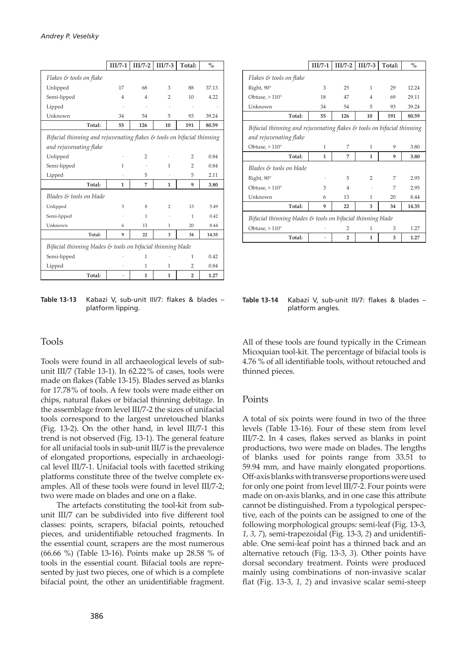|                                                                                   | $III/7-1$      | $III/7-2$      | $III/7-3$ | Total:         | $\frac{0}{0}$ |
|-----------------------------------------------------------------------------------|----------------|----------------|-----------|----------------|---------------|
| Flakes & tools on flake                                                           |                |                |           |                |               |
| Unlipped                                                                          | 17             | 68             | 3         | 88             | 37.13         |
| Semi-lipped                                                                       | $\overline{4}$ | $\overline{4}$ | 2         | 10             | 4.22          |
|                                                                                   |                |                |           |                |               |
| Lipped                                                                            |                |                | ï         | $\cdot$        |               |
| Unknown                                                                           | 34             | 54             | 5         | 93             | 39.24         |
| Total:                                                                            | 55             | 126            | 10        | 191            | 80.59         |
| Bifacial thinning and rejuvenating flakes $\mathcal E$ tools on bifacial thinning |                |                |           |                |               |
| and rejuvenating flake                                                            |                |                |           |                |               |
| Unlipped                                                                          |                | 2              |           | 2              | 0.84          |
| Semi-lipped                                                                       | 1              |                | 1         | $\overline{2}$ | 0.84          |
| Lipped                                                                            |                | 5              |           | 5              | 2.11          |
| Total:                                                                            | 1              | 7              | 1         | 9              | 3.80          |
| Blades & tools on blade                                                           |                |                |           |                |               |
| Unlipped                                                                          | 3              | 8              | 2         | 13             | 5.49          |
| Semi-lipped                                                                       |                | 1              |           | 1              | 0.42          |
| Unknown                                                                           | 6              | 13             | 1         | 20             | 8.44          |
| Total:                                                                            | 9              | 22             | 3         | 34             | 14.35         |
| Bifacial thinning blades & tools on bifacial thinning blade                       |                |                |           |                |               |
| Semi-lipped                                                                       |                | 1              |           | 1              | 0.42          |
| Lipped                                                                            |                | 1              | 1         | $\overline{2}$ | 0.84          |
| Total:                                                                            |                | $\mathbf{1}$   | 1         | $\overline{2}$ | 1.27          |

**Table 13-13** Kabazi V, sub-unit III/7: flakes & blades – platform lipping.

#### Tools

Tools were found in all archaeological levels of subunit III/7 (Table 13-1). In 62.22 % of cases, tools were made on flakes (Table 13-15). Blades served as blanks for 17.78 % of tools. A few tools were made either on chips, natural flakes or bifacial thinning debitage. In the assemblage from level III/7-2 the sizes of unifacial tools correspond to the largest unretouched blanks (Fig. 13-2). On the other hand, in level III/7-1 this trend is not observed (Fig. 13-1). The general feature for all unifacial tools in sub-unit III/7 is the prevalence of elongated proportions, especially in archaeological level III/7-1. Unifacial tools with facetted striking platforms constitute three of the twelve complete examples. All of these tools were found in level III/7-2; two were made on blades and one on a flake.

The artefacts constituting the tool-kit from subunit III/7 can be subdivided into five different tool classes: points, scrapers, bifacial points, retouched pieces, and unidentifiable retouched fragments. In the essential count, scrapers are the most numerous (66.66 %) (Table 13-16). Points make up 28.58 % of tools in the essential count. Bifacial tools are represented by just two pieces, one of which is a complete bifacial point, the other an unidentifiable fragment.

|                                                                                   | $III/7-1$ | $II1/7-2$      | $III/7-3$      | Total: | $\%$  |  |  |
|-----------------------------------------------------------------------------------|-----------|----------------|----------------|--------|-------|--|--|
| Flakes & tools on flake                                                           |           |                |                |        |       |  |  |
| Right, 90°                                                                        | 3         | 25             | 1              | 29     | 12.24 |  |  |
| Obtuse, $>110^\circ$                                                              | 18        | 47             | $\overline{4}$ | 69     | 29.11 |  |  |
| Unknown                                                                           | 34        | 54             | 5              | 93     | 39.24 |  |  |
| Total:                                                                            | 55        | 126            | 10             | 191    | 80.59 |  |  |
| Bifacial thinning and rejuvenating flakes $\mathcal E$ tools on bifacial thinning |           |                |                |        |       |  |  |
| and rejuvenating flake                                                            |           |                |                |        |       |  |  |
| Obtuse, $>110^\circ$                                                              | 1         | 7              | 1              | 9      | 3.80  |  |  |
| Total:                                                                            | 1         | 7              | 1              | 9      | 3.80  |  |  |
| Blades & tools on blade                                                           |           |                |                |        |       |  |  |
| Right, 90°                                                                        |           | 5              | $\overline{2}$ | 7      | 2.95  |  |  |
| Obtuse, $>110^\circ$                                                              | 3         | 4              |                | 7      | 2.95  |  |  |
| Unknown                                                                           | 6         | 13             | 1              | 20     | 8.44  |  |  |
| Total:                                                                            | 9         | 22             | 3              | 34     | 14.35 |  |  |
| Bifacial thinning blades $\mathcal E$ tools on bifacial thinning blade            |           |                |                |        |       |  |  |
| Obtuse, $>110^\circ$                                                              |           | $\overline{2}$ | 1              | 3      | 1.27  |  |  |
| Total:                                                                            |           | $\overline{2}$ | 1              | 3      | 1.27  |  |  |

#### **Table 13-14** Kabazi V, sub-unit III/7: flakes & blades – platform angles.

All of these tools are found typically in the Crimean Micoquian tool-kit. The percentage of bifacial tools is 4.76 % of all identifiable tools, without retouched and thinned pieces.

#### **Points**

A total of six points were found in two of the three levels (Table 13-16). Four of these stem from level III/7-2. In 4 cases, flakes served as blanks in point productions, two were made on blades. The lengths of blanks used for points range from 33.51 to 59.94 mm, and have mainly elongated proportions. Off-axis blanks with transverse proportions were used for only one point from level III/7-2. Four points were made on on-axis blanks, and in one case this attribute cannot be distinguished. From a typological perspective, each of the points can be assigned to one of the following morphological groups: semi-leaf (Fig. 13-3, *1, 3, 7*), semi-trapezoidal (Fig. 13-3, *2*) and unidentifiable. One semi-leaf point has a thinned back and an alternative retouch (Fig. 13-3, *3*). Other points have dorsal secondary treatment. Points were produced mainly using combinations of non-invasive scalar flat (Fig. 13-3, *1, 2*) and invasive scalar semi-steep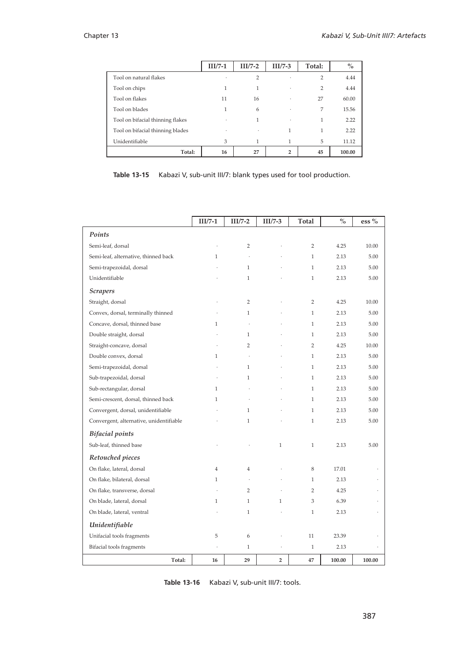|                                  | $III/7-1$ | $III/7-2$      | $III/7-3$      | Total:         | $\%$   |
|----------------------------------|-----------|----------------|----------------|----------------|--------|
| Tool on natural flakes           | ٠         | $\overline{2}$ |                | $\overline{2}$ | 4.44   |
| Tool on chips                    | 1         | 1              | $\cdot$        | $\overline{2}$ | 4.44   |
| Tool on flakes                   | 11        | 16             | ٠              | 27             | 60.00  |
| Tool on blades                   | 1         | 6              |                | 7              | 15.56  |
| Tool on bifacial thinning flakes | ٠         | 1              | ٠              | 1              | 2.22   |
| Tool on bifacial thinning blades | ٠         | ٠              | 1              | 1              | 2.22   |
| Unidentifiable                   | 3         | 1              | 1              | 5              | 11.12  |
| Total:                           | 16        | 27             | $\overline{2}$ | 45             | 100.00 |

**Table 13-15** Kabazi V, sub-unit III/7: blank types used for tool production.

|                                         | $III/7-1$            | $III/7-2$            | $III/7-3$      | <b>Total</b>   | $\%$   | ess %                |
|-----------------------------------------|----------------------|----------------------|----------------|----------------|--------|----------------------|
| Points                                  |                      |                      |                |                |        |                      |
| Semi-leaf, dorsal                       |                      | $\overline{2}$       |                | $\overline{2}$ | 4.25   | 10.00                |
| Semi-leaf, alternative, thinned back    | 1                    | $\ddot{\phantom{a}}$ |                | $\mathbf{1}$   | 2.13   | 5.00                 |
| Semi-trapezoidal, dorsal                |                      | $\mathbf{1}$         |                | $\mathbf{1}$   | 2.13   | 5.00                 |
| Unidentifiable                          |                      | $\mathbf{1}$         |                | $\mathbf{1}$   | 2.13   | 5.00                 |
| <b>Scrapers</b>                         |                      |                      |                |                |        |                      |
| Straight, dorsal                        |                      | $\overline{2}$       |                | $\overline{2}$ | 4.25   | 10.00                |
| Convex, dorsal, terminally thinned      |                      | $\mathbf{1}$         |                | $\mathbf{1}$   | 2.13   | 5.00                 |
| Concave, dorsal, thinned base           | $\mathbf{1}$         | $\ddot{\phantom{0}}$ |                | $\mathbf{1}$   | 2.13   | 5.00                 |
| Double straight, dorsal                 |                      | $\mathbf{1}$         |                | $\mathbf{1}$   | 2.13   | 5.00                 |
| Straight-concave, dorsal                |                      | $\overline{2}$       |                | $\overline{2}$ | 4.25   | 10.00                |
| Double convex, dorsal                   | $\mathbf{1}$         | $\ddot{\phantom{0}}$ |                | $\mathbf{1}$   | 2.13   | 5.00                 |
| Semi-trapezoidal, dorsal                |                      | $\mathbf{1}$         |                | $\mathbf{1}$   | 2.13   | 5.00                 |
| Sub-trapezoidal, dorsal                 |                      | $\mathbf{1}$         |                | 1              | 2.13   | 5.00                 |
| Sub-rectangular, dorsal                 | $\mathbf{1}$         |                      |                | 1              | 2.13   | 5.00                 |
| Semi-crescent, dorsal, thinned back     | $\mathbf{1}$         |                      |                | 1              | 2.13   | 5.00                 |
| Convergent, dorsal, unidentifiable      |                      | 1                    |                | $\mathbf{1}$   | 2.13   | 5.00                 |
| Convergent, alternative, unidentifiable |                      | $\mathbf{1}$         |                | $\mathbf{1}$   | 2.13   | 5.00                 |
| <b>Bifacial</b> points                  |                      |                      |                |                |        |                      |
| Sub-leaf, thinned base                  |                      |                      | $\mathbf{1}$   | $\mathbf{1}$   | 2.13   | 5.00                 |
| Retouched pieces                        |                      |                      |                |                |        |                      |
| On flake, lateral, dorsal               | $\overline{4}$       | $\overline{4}$       |                | 8              | 17.01  | $\cdot$              |
| On flake, bilateral, dorsal             | $\mathbf{1}$         | $\ddot{\phantom{0}}$ |                | $\mathbf{1}$   | 2.13   | ÷,                   |
| On flake, transverse, dorsal            |                      | $\overline{2}$       |                | $\overline{2}$ | 4.25   | $\ddot{\phantom{0}}$ |
| On blade, lateral, dorsal               | $\mathbf{1}$         | $\mathbf{1}$         | 1              | 3              | 6.39   | $\ddot{\phantom{a}}$ |
| On blade, lateral, ventral              |                      | $\mathbf{1}$         |                | $\mathbf{1}$   | 2.13   | $\ddot{\phantom{0}}$ |
| Unidentifiable                          |                      |                      |                |                |        |                      |
| Unifacial tools fragments               | 5                    | 6                    |                | 11             | 23.39  |                      |
| Bifacial tools fragments                | $\ddot{\phantom{0}}$ | $\mathbf{1}$         | ÷              | $\mathbf{1}$   | 2.13   | ÷,                   |
| Total:                                  | 16                   | 29                   | $\overline{2}$ | 47             | 100.00 | 100.00               |

| Table 13-16 |  | Kabazi V, sub-unit III/7: tools. |
|-------------|--|----------------------------------|
|-------------|--|----------------------------------|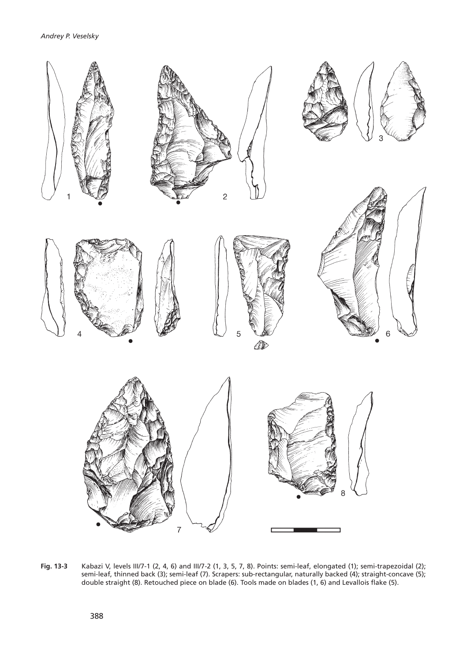

**Fig. 13-3** Kabazi V, levels III/7-1 (2, 4, 6) and III/7-2 (1, 3, 5, 7, 8). Points: semi-leaf, elongated (1); semi-trapezoidal (2); semi-leaf, thinned back (3); semi-leaf (7). Scrapers: sub-rectangular, naturally backed (4); straight-concave (5); double straight (8). Retouched piece on blade (6). Tools made on blades (1, 6) and Levallois flake (5).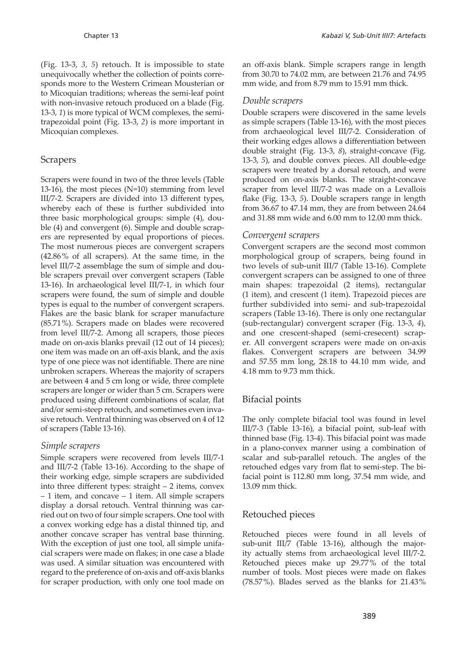(Fig. 13-3, *3, 5*) retouch. It is impossible to state unequivocally whether the collection of points corresponds more to the Western Crimean Mousterian or to Micoquian traditions; whereas the semi-leaf point with non-invasive retouch produced on a blade (Fig. 13-3, *1*) is more typical of WCM complexes, the semitrapezoidal point (Fig. 13-3, *2*) is more important in Micoquian complexes.

#### **Scrapers**

Scrapers were found in two of the three levels (Table 13-16), the most pieces (N=10) stemming from level III/7-2. Scrapers are divided into 13 different types, whereby each of these is further subdivided into three basic morphological groups: simple (4), double (4) and convergent (6). Simple and double scrapers are represented by equal proportions of pieces. The most numerous pieces are convergent scrapers (42.86 % of all scrapers). At the same time, in the level III/7-2 assemblage the sum of simple and double scrapers prevail over convergent scrapers (Table 13-16). In archaeological level III/7-1, in which four scrapers were found, the sum of simple and double types is equal to the number of convergent scrapers. Flakes are the basic blank for scraper manufacture (85.71 %). Scrapers made on blades were recovered from level III/7-2. Among all scrapers, those pieces made on on-axis blanks prevail (12 out of 14 pieces); one item was made on an off-axis blank, and the axis type of one piece was not identifiable. There are nine unbroken scrapers. Whereas the majority of scrapers are between 4 and 5 cm long or wide, three complete scrapers are longer or wider than 5 cm. Scrapers were produced using different combinations of scalar, flat and/or semi-steep retouch, and sometimes even invasive retouch. Ventral thinning was observed on 4 of 12 of scrapers (Table 13-16).

#### *Simple scrapers*

Simple scrapers were recovered from levels III/7-1 and III/7-2 (Table 13-16). According to the shape of their working edge, simple scrapers are subdivided into three different types: straight – 2 items, convex – 1 item, and concave – 1 item. All simple scrapers display a dorsal retouch. Ventral thinning was carried out on two of four simple scrapers. One tool with a convex working edge has a distal thinned tip, and another concave scraper has ventral base thinning. With the exception of just one tool, all simple unifacial scrapers were made on flakes; in one case a blade was used. A similar situation was encountered with regard to the preference of on-axis and off-axis blanks for scraper production, with only one tool made on an off-axis blank. Simple scrapers range in length from 30.70 to 74.02 mm, are between 21.76 and 74.95 mm wide, and from 8.79 mm to 15.91 mm thick.

#### *Double scrapers*

Double scrapers were discovered in the same levels as simple scrapers (Table 13-16), with the most pieces from archaeological level III/7-2. Consideration of their working edges allows a differentiation between double straight (Fig. 13-3, *8*), straight-concave (Fig. 13-3, *5*), and double convex pieces. All double-edge scrapers were treated by a dorsal retouch, and were produced on on-axis blanks. The straight-concave scraper from level III/7-2 was made on a Levallois flake (Fig. 13-3, *5*). Double scrapers range in length from 36.67 to 47.14 mm, they are from between 24.64 and 31.88 mm wide and 6.00 mm to 12.00 mm thick.

#### *Convergent scrapers*

Convergent scrapers are the second most common morphological group of scrapers, being found in two levels of sub-unit III/7 (Table 13-16). Complete convergent scrapers can be assigned to one of three main shapes: trapezoidal (2 items), rectangular (1 item), and crescent (1 item). Trapezoid pieces are further subdivided into semi- and sub-trapezoidal scrapers (Table 13-16). There is only one rectangular (sub-rectangular) convergent scraper (Fig. 13-3, *4*), and one crescent-shaped (semi-cresecent) scraper. All convergent scrapers were made on on-axis flakes. Convergent scrapers are between 34.99 and 57.55 mm long, 28.18 to 44.10 mm wide, and 4.18 mm to 9.73 mm thick.

#### Bifacial points

The only complete bifacial tool was found in level III/7-3 (Table 13-16), a bifacial point, sub-leaf with thinned base (Fig. 13-4). This bifacial point was made in a plano-convex manner using a combination of scalar and sub-parallel retouch. The angles of the retouched edges vary from flat to semi-step. The bifacial point is 112.80 mm long, 37.54 mm wide, and 13.09 mm thick.

#### Retouched pieces

Retouched pieces were found in all levels of sub-unit III/7 (Table 13-16), although the majority actually stems from archaeological level III/7-2. Retouched pieces make up 29.77 % of the total number of tools. Most pieces were made on flakes  $(78.57\%)$ . Blades served as the blanks for  $21.43\%$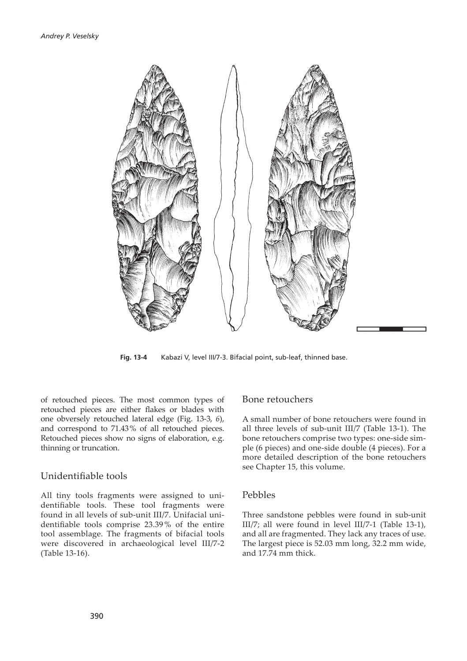

**Fig. 13-4** Kabazi V, level III/7-3. Bifacial point, sub-leaf, thinned base.

of retouched pieces. The most common types of retouched pieces are either flakes or blades with one obversely retouched lateral edge (Fig. 13-3, *6*), and correspond to 71.43 % of all retouched pieces. Retouched pieces show no signs of elaboration, e.g. thinning or truncation.

#### Unidentifiable tools

All tiny tools fragments were assigned to unidentifiable tools. These tool fragments were found in all levels of sub-unit III/7. Unifacial unidentifiable tools comprise 23.39 % of the entire tool assemblage. The fragments of bifacial tools were discovered in archaeological level III/7-2 (Table 13-16).

#### Bone retouchers

A small number of bone retouchers were found in all three levels of sub-unit III/7 (Table 13-1). The bone retouchers comprise two types: one-side simple (6 pieces) and one-side double (4 pieces). For a more detailed description of the bone retouchers see Chapter 15, this volume.

#### Pebbles

Three sandstone pebbles were found in sub-unit III/7; all were found in level III/7-1 (Table 13-1), and all are fragmented. They lack any traces of use. The largest piece is 52.03 mm long, 32.2 mm wide, and 17.74 mm thick.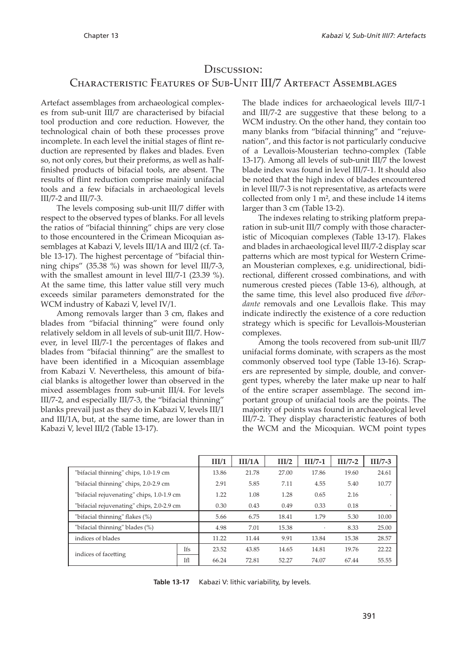#### DISCUSSION:

#### CHARACTERISTIC FEATURES OF SUB-UNIT III/7 ARTEFACT ASSEMBLAGES

Artefact assemblages from archaeological complexes from sub-unit III/7 are characterised by bifacial tool production and core reduction. However, the technological chain of both these processes prove incomplete. In each level the initial stages of flint reduction are represented by flakes and blades. Even so, not only cores, but their preforms, as well as halffinished products of bifacial tools, are absent. The results of flint reduction comprise mainly unifacial tools and a few bifacials in archaeological levels III/7-2 and III/7-3.

The levels composing sub-unit III/7 differ with respect to the observed types of blanks. For all levels the ratios of "bifacial thinning" chips are very close to those encountered in the Crimean Micoquian assemblages at Kabazi V, levels III/1A and III/2 (cf. Table 13-17). The highest percentage of "bifacial thinning chips" (35.38 %) was shown for level III/7-3, with the smallest amount in level III/7-1 (23.39 %). At the same time, this latter value still very much exceeds similar parameters demonstrated for the WCM industry of Kabazi V, level IV/1.

Among removals larger than 3 cm, flakes and blades from "bifacial thinning" were found only relatively seldom in all levels of sub-unit III/7. However, in level III/7-1 the percentages of flakes and blades from "bifacial thinning" are the smallest to have been identified in a Micoquian assemblage from Kabazi V. Nevertheless, this amount of bifacial blanks is altogether lower than observed in the mixed assemblages from sub-unit III/4. For levels III/7-2, and especially III/7-3, the "bifacial thinning" blanks prevail just as they do in Kabazi V, levels III/1 and III/1A, but, at the same time, are lower than in Kabazi V, level III/2 (Table 13-17).

The blade indices for archaeological levels III/7-1 and III/7-2 are suggestive that these belong to a WCM industry. On the other hand, they contain too many blanks from "bifacial thinning" and "rejuvenation", and this factor is not particularly conducive of a Levallois-Mousterian techno-complex (Table 13-17). Among all levels of sub-unit III/7 the lowest blade index was found in level III/7-1. It should also be noted that the high index of blades encountered in level III/7-3 is not representative, as artefacts were collected from only 1 m², and these include 14 items larger than 3 cm (Table 13-2).

The indexes relating to striking platform preparation in sub-unit III/7 comply with those characteristic of Micoquian complexes (Table 13-17). Flakes and blades in archaeological level III/7-2 display scar patterns which are most typical for Western Crimean Mousterian complexes, e.g. unidirectional, bidirectional, different crossed combinations, and with numerous crested pieces (Table 13-6), although, at the same time, this level also produced five *débordante* removals and one Levallois flake. This may indicate indirectly the existence of a core reduction strategy which is specific for Levallois-Mousterian complexes.

Among the tools recovered from sub-unit III/7 unifacial forms dominate, with scrapers as the most commonly observed tool type (Table 13-16). Scrapers are represented by simple, double, and convergent types, whereby the later make up near to half of the entire scraper assemblage. The second important group of unifacial tools are the points. The majority of points was found in archaeological level III/7-2. They display characteristic features of both the WCM and the Micoquian. WCM point types

|                                           |            | III/1 | III/1A | III/2 | $III/7-1$ | $III/7-2$ | $III/7-3$ |
|-------------------------------------------|------------|-------|--------|-------|-----------|-----------|-----------|
| "bifacial thinning" chips, 1.0-1.9 cm     |            | 13.86 | 21.78  | 27.00 | 17.86     | 19.60     | 24.61     |
| "bifacial thinning" chips, 2.0-2.9 cm     |            | 2.91  | 5.85   | 7.11  | 4.55      | 5.40      | 10.77     |
| "bifacial rejuvenating" chips, 1.0-1.9 cm |            | 1.22  | 1.08   | 1.28  | 0.65      | 2.16      |           |
| "bifacial rejuvenating" chips, 2.0-2.9 cm |            | 0.30  | 0.43   | 0.49  | 0.33      | 0.18      |           |
| "bifacial thinning" flakes (%)            |            | 5.66  | 6.75   | 18.41 | 1.79      | 5.30      | 10.00     |
| "bifacial thinning" blades (%)            |            | 4.98  | 7.01   | 15.38 | $\cdot$   | 8.33      | 25.00     |
| indices of blades                         |            | 11.22 | 11.44  | 9.91  | 13.84     | 15.38     | 28.57     |
| indices of facetting                      | <b>Ifs</b> | 23.52 | 43.85  | 14.65 | 14.81     | 19.76     | 22.22     |
|                                           | ΤfΙ        | 66.24 | 72.81  | 52.27 | 74.07     | 67.44     | 55.55     |

**Table 13-17** Kabazi V: lithic variability, by levels.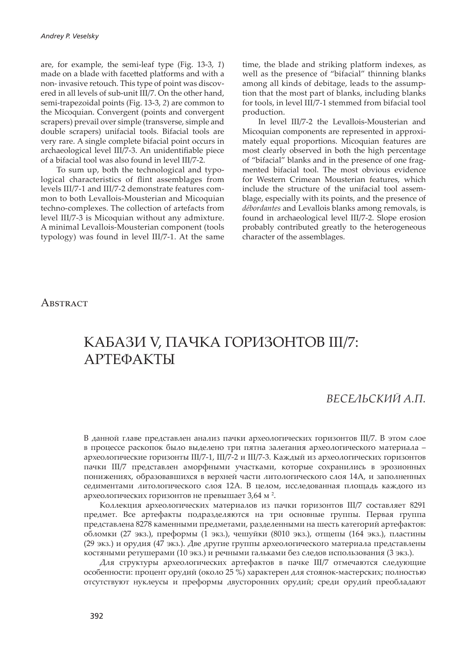are, for example, the semi-leaf type (Fig. 13-3, *1*) made on a blade with facetted platforms and with a non- invasive retouch. This type of point was discovered in all levels of sub-unit III/7. On the other hand, semi-trapezoidal points (Fig. 13-3, *2*) are common to the Micoquian. Convergent (points and convergent scrapers) prevail over simple (transverse, simple and double scrapers) unifacial tools. Bifacial tools are very rare. A single complete bifacial point occurs in archaeological level III/7-3. An unidentifiable piece of a bifacial tool was also found in level III/7-2.

To sum up, both the technological and typological characteristics of flint assemblages from levels III/7-1 and III/7-2 demonstrate features common to both Levallois-Mousterian and Micoquian techno-complexes. The collection of artefacts from level III/7-3 is Micoquian without any admixture. A minimal Levallois-Mousterian component (tools typology) was found in level III/7-1. At the same time, the blade and striking platform indexes, as well as the presence of "bifacial" thinning blanks among all kinds of debitage, leads to the assumption that the most part of blanks, including blanks for tools, in level III/7-1 stemmed from bifacial tool production.

In level III/7-2 the Levallois-Mousterian and Micoquian components are represented in approximately equal proportions. Micoquian features are most clearly observed in both the high percentage of "bifacial" blanks and in the presence of one fragmented bifacial tool. The most obvious evidence for Western Crimean Mousterian features, which include the structure of the unifacial tool assemblage, especially with its points, and the presence of *débordantes* and Levallois blanks among removals, is found in archaeological level III/7-2. Slope erosion probably contributed greatly to the heterogeneous character of the assemblages.

#### ABSTRACT

### КАБАЗИ V, ПАЧКА ГОРИЗОНТОВ III/7: АРТЕФАКТЫ

#### *ВЕСЕЛЬСКИЙ А.П.*

В данной главе представлен анализ пачки археологических горизонтов III/7. В этом слое в процессе раскопок было выделено три пятна залегания археологического материала – археологические горизонты III/7-1, III/7-2 и III/7-3. Каждый из археологических горизонтов пачки III/7 представлен аморфными участками, которые сохранились в эрозионных понижениях, образовавшихся в верхней части литологического слоя 14А, и заполненных седиментами литологического слоя 12А. В целом, исследованная площадь каждого из археологических горизонтов не превышает 3,64 м  $^2$ .

Коллекция археологических материалов из пачки горизонтов III/7 составляет 8291 предмет. Все артефакты подразделяются на три основные группы. Первая группа представлена 8278 каменными предметами, разделенными на шесть категорий артефактов: обломки (27 экз.), преформы (1 экз.), чешуйки (8010 экз.), отщепы (164 экз.), пластины (29 экз.) и орудия (47 экз.). Две другие группы археологического материала представлены костяными ретушерами (10 экз.) и речными гальками без следов использования (3 экз.).

Для структуры археологических артефактов в пачке III/7 отмечаются следующие особенности: процент орудий (около 25 %) характерен для стоянок-мастерских; полностью отсутствуют нуклеусы и преформы двусторонних орудий; среди орудий преобладают